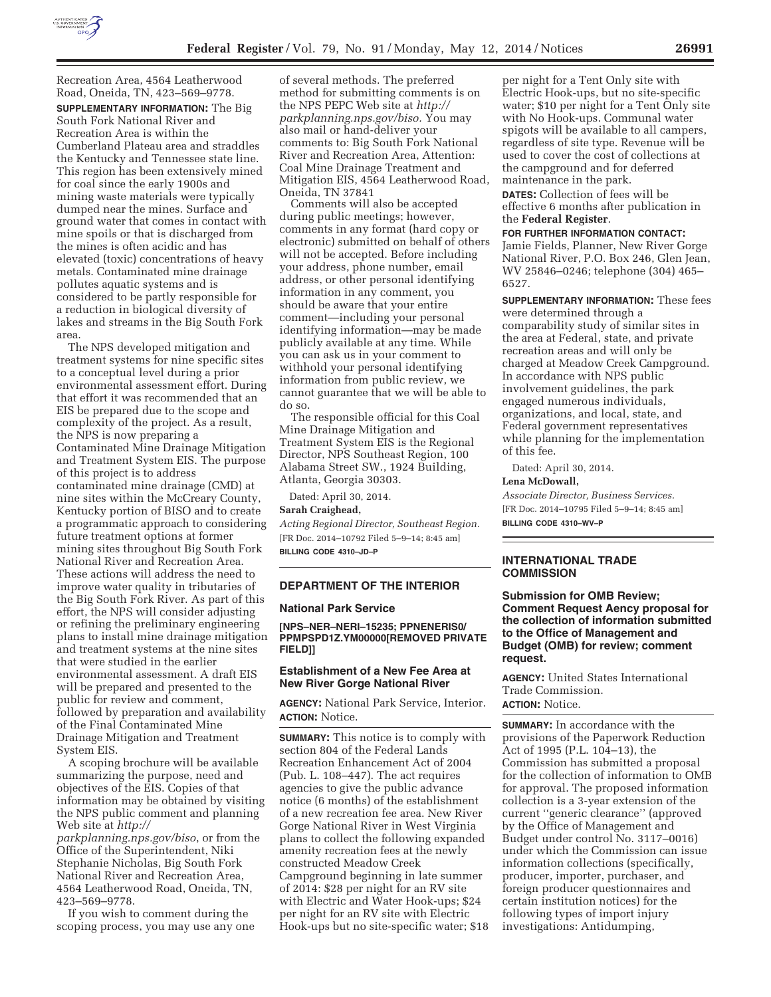

Recreation Area, 4564 Leatherwood Road, Oneida, TN, 423–569–9778. **SUPPLEMENTARY INFORMATION:** The Big South Fork National River and Recreation Area is within the Cumberland Plateau area and straddles the Kentucky and Tennessee state line. This region has been extensively mined for coal since the early 1900s and mining waste materials were typically dumped near the mines. Surface and ground water that comes in contact with mine spoils or that is discharged from the mines is often acidic and has elevated (toxic) concentrations of heavy metals. Contaminated mine drainage pollutes aquatic systems and is considered to be partly responsible for a reduction in biological diversity of lakes and streams in the Big South Fork area.

The NPS developed mitigation and treatment systems for nine specific sites to a conceptual level during a prior environmental assessment effort. During that effort it was recommended that an EIS be prepared due to the scope and complexity of the project. As a result, the NPS is now preparing a Contaminated Mine Drainage Mitigation and Treatment System EIS. The purpose of this project is to address contaminated mine drainage (CMD) at nine sites within the McCreary County, Kentucky portion of BISO and to create a programmatic approach to considering future treatment options at former mining sites throughout Big South Fork National River and Recreation Area. These actions will address the need to improve water quality in tributaries of the Big South Fork River. As part of this effort, the NPS will consider adjusting or refining the preliminary engineering plans to install mine drainage mitigation and treatment systems at the nine sites that were studied in the earlier environmental assessment. A draft EIS will be prepared and presented to the public for review and comment, followed by preparation and availability of the Final Contaminated Mine Drainage Mitigation and Treatment System EIS.

A scoping brochure will be available summarizing the purpose, need and objectives of the EIS. Copies of that information may be obtained by visiting the NPS public comment and planning Web site at *http://* 

*parkplanning.nps.gov/biso*, or from the Office of the Superintendent, Niki Stephanie Nicholas, Big South Fork National River and Recreation Area, 4564 Leatherwood Road, Oneida, TN, 423–569–9778.

If you wish to comment during the scoping process, you may use any one

of several methods. The preferred method for submitting comments is on the NPS PEPC Web site at *http:// parkplanning.nps.gov/biso.* You may also mail or hand-deliver your comments to: Big South Fork National River and Recreation Area, Attention: Coal Mine Drainage Treatment and Mitigation EIS, 4564 Leatherwood Road, Oneida, TN 37841

Comments will also be accepted during public meetings; however, comments in any format (hard copy or electronic) submitted on behalf of others will not be accepted. Before including your address, phone number, email address, or other personal identifying information in any comment, you should be aware that your entire comment—including your personal identifying information—may be made publicly available at any time. While you can ask us in your comment to withhold your personal identifying information from public review, we cannot guarantee that we will be able to do so.

The responsible official for this Coal Mine Drainage Mitigation and Treatment System EIS is the Regional Director, NPS Southeast Region, 100 Alabama Street SW., 1924 Building, Atlanta, Georgia 30303.

Dated: April 30, 2014.

# **Sarah Craighead,**

*Acting Regional Director, Southeast Region.*  [FR Doc. 2014–10792 Filed 5–9–14; 8:45 am] **BILLING CODE 4310–JD–P** 

# **DEPARTMENT OF THE INTERIOR**

# **National Park Service**

**[NPS–NER–NERI–15235; PPNENERIS0/ PPMPSPD1Z.YM00000[REMOVED PRIVATE FIELD]]** 

# **Establishment of a New Fee Area at New River Gorge National River**

**AGENCY:** National Park Service, Interior. **ACTION:** Notice.

**SUMMARY:** This notice is to comply with section 804 of the Federal Lands Recreation Enhancement Act of 2004 (Pub. L. 108–447). The act requires agencies to give the public advance notice (6 months) of the establishment of a new recreation fee area. New River Gorge National River in West Virginia plans to collect the following expanded amenity recreation fees at the newly constructed Meadow Creek Campground beginning in late summer of 2014: \$28 per night for an RV site with Electric and Water Hook-ups; \$24 per night for an RV site with Electric Hook-ups but no site-specific water; \$18

per night for a Tent Only site with Electric Hook-ups, but no site-specific water; \$10 per night for a Tent Only site with No Hook-ups. Communal water spigots will be available to all campers, regardless of site type. Revenue will be used to cover the cost of collections at the campground and for deferred maintenance in the park.

**DATES:** Collection of fees will be effective 6 months after publication in the **Federal Register**.

### **FOR FURTHER INFORMATION CONTACT:**

Jamie Fields, Planner, New River Gorge National River, P.O. Box 246, Glen Jean, WV 25846–0246; telephone (304) 465– 6527.

**SUPPLEMENTARY INFORMATION:** These fees were determined through a comparability study of similar sites in the area at Federal, state, and private recreation areas and will only be charged at Meadow Creek Campground. In accordance with NPS public involvement guidelines, the park engaged numerous individuals, organizations, and local, state, and Federal government representatives while planning for the implementation of this fee.

Dated: April 30, 2014.

### **Lena McDowall,**

*Associate Director, Business Services.*  [FR Doc. 2014–10795 Filed 5–9–14; 8:45 am] **BILLING CODE 4310–WV–P** 

## **INTERNATIONAL TRADE COMMISSION**

**Submission for OMB Review; Comment Request Aency proposal for the collection of information submitted to the Office of Management and Budget (OMB) for review; comment request.** 

**AGENCY:** United States International Trade Commission. **ACTION:** Notice.

**SUMMARY:** In accordance with the provisions of the Paperwork Reduction Act of 1995 (P.L. 104–13), the Commission has submitted a proposal for the collection of information to OMB for approval. The proposed information collection is a 3-year extension of the current ''generic clearance'' (approved by the Office of Management and Budget under control No. 3117–0016) under which the Commission can issue information collections (specifically, producer, importer, purchaser, and foreign producer questionnaires and certain institution notices) for the following types of import injury investigations: Antidumping,